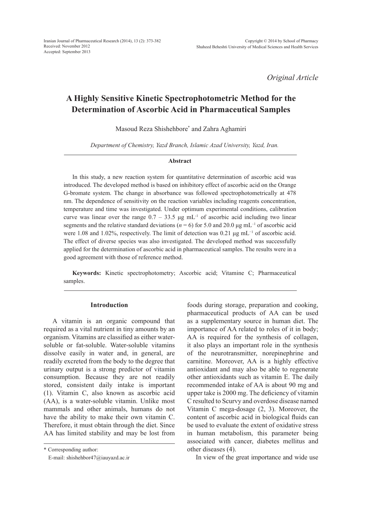*Original Article*

# **A Highly Sensitive Kinetic Spectrophotometric Method for the Determination of Ascorbic Acid in Pharmaceutical Samples**

Masoud Reza Shishehbore\* and Zahra Aghamiri

*Department of Chemistry, Yazd Branch, Islamic Azad University, Yazd, Iran.*

#### **Abstract**

In this study, a new reaction system for quantitative determination of ascorbic acid was introduced. The developed method is based on inhibitory effect of ascorbic acid on the Orange G-bromate system. The change in absorbance was followed spectrophotometrically at 478 nm. The dependence of sensitivity on the reaction variables including reagents concentration, temperature and time was investigated. Under optimum experimental conditions, calibration curve was linear over the range  $0.7 - 33.5$   $\mu$ g mL<sup>-1</sup> of ascorbic acid including two linear segments and the relative standard deviations ( $n = 6$ ) for 5.0 and 20.0  $\mu$ g mL<sup>-1</sup> of ascorbic acid were 1.08 and 1.02%, respectively. The limit of detection was 0.21 μg mL<sup>−1</sup> of ascorbic acid. The effect of diverse species was also investigated. The developed method was successfully applied for the determination of ascorbic acid in pharmaceutical samples. The results were in a good agreement with those of reference method.

**Keywords:** Kinetic spectrophotometry; Ascorbic acid; Vitamine C; Pharmaceutical samples.

#### **Introduction**

A vitamin is an organic compound that required as a vital nutrient in tiny amounts by an organism. Vitamins are classified as either watersoluble or fat-soluble. Water-soluble vitamins dissolve easily in water and, in general, are readily excreted from the body to the degree that urinary output is a strong predictor of vitamin consumption. Because they are not readily stored, consistent daily intake is important (1). Vitamin C, also known as ascorbic acid (AA), is a water-soluble vitamin. Unlike most mammals and other animals, humans do not have the ability to make their own vitamin C. Therefore, it must obtain through the diet. Since AA has limited stability and may be lost from

\* Corresponding author:

E-mail: shishehbor47@iauyazd.ac.ir

foods during storage, preparation and cooking, pharmaceutical products of AA can be used as a supplementary source in human diet. The importance of AA related to roles of it in body; AA is required for the synthesis of collagen, it also plays an important role in the synthesis of the neurotransmitter, norepinephrine and carnitine. Moreover, AA is a highly effective antioxidant and may also be able to regenerate other antioxidants such as vitamin E. The daily recommended intake of AA is about 90 mg and upper take is 2000 mg. The deficiency of vitamin C resulted to Scurvy and overdose disease named Vitamin C mega-dosage (2, 3). Moreover, the content of ascorbic acid in biological fluids can be used to evaluate the extent of oxidative stress in human metabolism, this parameter being associated with cancer, diabetes mellitus and other diseases (4).

In view of the great importance and wide use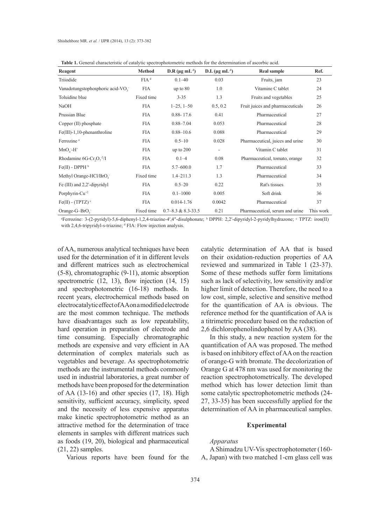**Table 1.** General characteristic of catalytic spectrophotometric methods for the determination of ascorbic acid.

| Reagent                                      | <b>Method</b>    | D.R ( $\mu$ g mL <sup>-1</sup> ) | $D.L$ (µg m $L^{-1}$ ) | <b>Real sample</b>               | Ref.      |
|----------------------------------------------|------------------|----------------------------------|------------------------|----------------------------------|-----------|
| Triiodide                                    | FIA <sup>d</sup> | $0.1 - 40$                       | 0.03                   | Fruits, jam                      | 23        |
| Vanadotungstophosphoric acid-VO <sub>3</sub> | <b>FIA</b>       | up to $80$                       | 1.0                    | Vitamine C tablet                | 24        |
| Toluidine blue                               | Fixed time       | $3 - 35$                         | 1.3                    | Fruits and vegetables            | 25        |
| NaOH                                         | <b>FIA</b>       | $1-25, 1-50$                     | 0.5, 0.2               | Fruit juices and pharmaceuticals | 26        |
| Prussian Blue                                | <b>FIA</b>       | $0.88 - 17.6$                    | 0.41                   | Pharmaceutical                   | 27        |
| Copper (II) phosphate                        | <b>FIA</b>       | $0.88 - 7.04$                    | 0.053                  | Pharmaceutical                   | 28        |
| $Fe(III)$ -1,10-phenanthroline               | <b>FIA</b>       | $0.88 - 10.6$                    | 0.088                  | Pharmaceutical                   | 29        |
| Ferrozine <sup>a</sup>                       | <b>FIA</b>       | $0.5 - 10$                       | 0.028                  | Pharmaceutical, juices and urine | 30        |
| $MnOi-H+$                                    | <b>FIA</b>       | up to $200$                      | ٠                      | Vitamin C tablet                 | 31        |
| Rhodamine $6G-Cr_1O_7^2/I$                   | <b>FIA</b>       | $0.1 - 4$                        | 0.08                   | Pharmaceutical, tomato, orange   | 32        |
| $Fe(II)$ - DPPH $^b$                         | <b>FIA</b>       | $5.7 - 600.0$                    | 1.7                    | Pharmaceutical                   | 33        |
| Methyl Orange-HCl/BrO <sub>3</sub>           | Fixed time       | $1.4 - 211.3$                    | 1.3                    | Pharmaceutical                   | 34        |
| Fe (III) and 2,2'-dipyridyl                  | <b>FIA</b>       | $0.5 - 20$                       | 0.22                   | Rat's tissues                    | 35        |
| Porphyrin-Cu <sup>+2</sup>                   | <b>FIA</b>       | $0.1 - 1000$                     | 0.005                  | Soft drink                       | 36        |
| $Fe(II) - (TPTZ)$ <sup>c</sup>               | <b>FIA</b>       | $0.014 - 1.76$                   | 0.0042                 | Pharmaceutical                   | 37        |
| Orange-G-BrO $_{3}$                          | Fixed time       | $0.7 - 8.3$ & 8.3-33.5           | 0.21                   | Pharmaceutical, serum and urine  | This work |

a Ferrozine: 3-(2-pyridyl)-5,6-diphenyl-1,2,4-triazine-4′,4″-disulphonate; <sup>b</sup> DPPH: 2,2′-dipyridyl-2-pyridylhydrazone; <sup>c</sup> TPTZ: iron(II) with 2,4,6-tripyridyl-s-triazine; <sup>d</sup> FIA: Flow injection analysis.

of AA, numerous analytical techniques have been used for the determination of it in different levels and different matrices such as electrochemical (5-8), chromatographic (9-11), atomic absorption spectrometric (12, 13), flow injection (14, 15) and spectrophotometric (16-18) methods. In recent years, electrochemical methods based on electrocatalytic effect of AA on a modified electrode are the most common technique. The methods have disadvantages such as low repeatability, hard operation in preparation of electrode and time consuming. Especially chromatographic methods are expensive and very efficient in AA determination of complex materials such as vegetables and beverage. As spectrophotometric methods are the instrumental methods commonly used in industrial laboratories, a great number of methods have been proposed for the determination of AA (13-16) and other species (17, 18). High sensitivity, sufficient accuracy, simplicity, speed and the necessity of less expensive apparatus make kinetic spectrophotometric method as an attractive method for the determination of trace elements in samples with different matrices such as foods (19, 20), biological and pharmaceutical (21, 22) samples.

Various reports have been found for the

catalytic determination of AA that is based on their oxidation-reduction properties of AA reviewed and summarized in Table 1 (23-37). Some of these methods suffer form limitations such as lack of selectivity, low sensitivity and/or higher limit of detection. Therefore, the need to a low cost, simple, selective and sensitive method for the quantification of AA is obvious. The reference method for the quantification of AA is a titrimetric procedure based on the reduction of 2,6 dichlorophenolindophenol by AA (38).

In this study, a new reaction system for the quantification of AA was proposed. The method is based on inhibitory effect of AA on the reaction of orange-G with bromate. The decolorization of Orange G at 478 nm was used for monitoring the reaction spectrophotometrically. The developed method which has lower detection limit than some catalytic spectrophotometric methods (24- 27, 33-35) has been successfully applied for the determination of AA in pharmaceutical samples.

### **Experimental**

#### *Apparatus*

A Shimadzu UV-Vis spectrophotometer (160- A, Japan) with two matched 1-cm glass cell was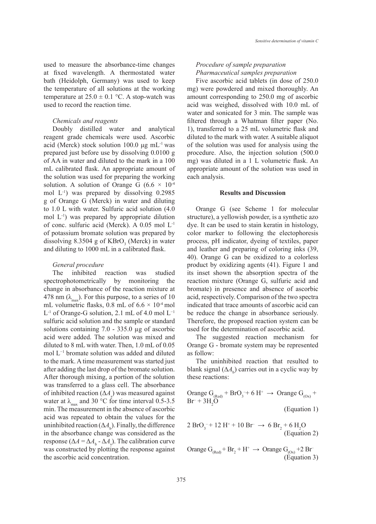used to measure the absorbance-time changes at fixed wavelength. A thermostated water bath (Heidolph, Germany) was used to keep the temperature of all solutions at the working temperature at  $25.0 \pm 0.1$  °C. A stop-watch was used to record the reaction time.

#### *Chemicals and reagents*

Doubly distilled water and analytical reagent grade chemicals were used. Ascorbic acid (Merck) stock solution 100.0 μg mL<sup>-1</sup> was prepared just before use by dissolving 0.0100 g of AA in water and diluted to the mark in a 100 mL calibrated flask. An appropriate amount of the solution was used for preparing the working solution. A solution of Orange G (6.6  $\times$  10<sup>-4</sup> mol  $L^{-1}$ ) was prepared by dissolving 0.2985 g of Orange G (Merck) in water and diluting to 1.0 L with water. Sulfuric acid solution (4.0 mol L-1) was prepared by appropriate dilution of conc. sulfuric acid (Merck). A 0.05 mol L-1 of potassium bromate solution was prepared by dissolving 8.3504 g of  $KBrO<sub>3</sub>$  (Merck) in water and diluting to 1000 mL in a calibrated flask.

#### *General procedure*

The inhibited reaction was studied spectrophotometrically by monitoring the change in absorbance of the reaction mixture at 478 nm  $(\lambda_{\text{max}})$ . For this purpose, to a series of 10 mL volumetric flasks, 0.8 mL of  $6.6 \times 10^{-4}$  mol L-1 of Orange-G solution, 2.1 mL of 4.0 mol L−1 sulfuric acid solution and the sample or standard solutions containing 7.0 - 335.0 µg of ascorbic acid were added. The solution was mixed and diluted to 8 mL with water. Then, 1.0 mL of 0.05 mol L−1 bromate solution was added and diluted to the mark. A time measurement was started just after adding the last drop of the bromate solution. After thorough mixing, a portion of the solution was transferred to a glass cell. The absorbance of inhibited reaction  $(\Delta A_s)$  was measured against water at  $\lambda_{\text{max}}$  and 30 °C for time interval 0.5-3.5 min. The measurement in the absence of ascorbic acid was repeated to obtain the values for the uninhibited reaction  $(\Delta A_{\rm b})$ . Finally, the difference in the absorbance change was considered as the response ( $\Delta A = \Delta A_b - \Delta A_s$ ). The calibration curve was constructed by plotting the response against the ascorbic acid concentration.

# *Procedure of sample preparation Pharmaceutical samples preparation*

Five ascorbic acid tablets (in dose of 250.0 mg) were powdered and mixed thoroughly. An amount corresponding to 250.0 mg of ascorbic acid was weighed, dissolved with 10.0 mL of water and sonicated for 3 min. The sample was filtered through a Whatman filter paper (No. 1), transferred to a 25 mL volumetric flask and diluted to the mark with water. A suitable aliquot of the solution was used for analysis using the procedure. Also, the injection solution (500.0 mg) was diluted in a 1 L volumetric flask. An appropriate amount of the solution was used in each analysis.

#### **Results and Discussion**

Orange G (see Scheme 1 for molecular structure), a yellowish powder, is a synthetic azo dye. It can be used to stain keratin in histology, color marker to following the electophoresis process, pH indicator, dyeing of textiles, paper and leather and preparing of coloring inks (39, 40). Orange G can be oxidized to a colorless product by oxidizing agents (41). Figure 1 and its inset shown the absorption spectra of the reaction mixture (Orange G, sulfuric acid and bromate) in presence and absence of ascorbic acid, respectively. Comparison of the two spectra indicated that trace amounts of ascorbic acid can be reduce the change in absorbance seriously. Therefore, the proposed reaction system can be used for the determination of ascorbic acid.

The suggested reaction mechanism for Orange G - bromate system may be represented as follow:

The uninhibited reaction that resulted to blank signal  $(\Delta A_{\rm b})$  carries out in a cyclic way by these reactions:

Orange 
$$
G_{(Red)} + BrO_3 + 6H^+ \rightarrow
$$
 Orange  $G_{(ox)} +$ 

\nBr + 3H<sub>2</sub>O (Equation 1)

\n2.5.9. (12.11) 18.8. (15.9)

$$
2 \text{ BrO}_3^{-+} 12 \text{ H}^+ + 10 \text{ Br} \rightarrow 6 \text{ Br}_2 + 6 \text{ H}_2\text{O}
$$
  
(Equation 2)

Orange  $G_{(Red)}$  + Br<sub>2</sub> + H<sup>+</sup>  $\rightarrow$  Orange  $G_{(Ox)}$  +2 Br (Equation 3)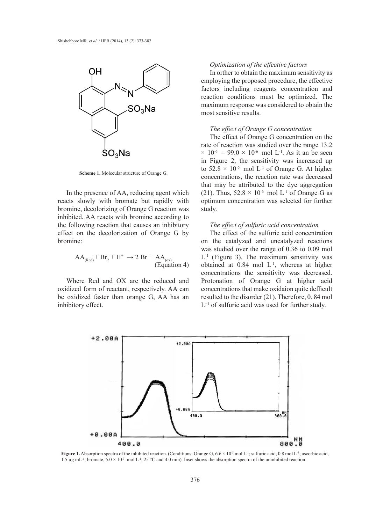

**Scheme 1.** Molecular structure of Orange G.

In the presence of AA, reducing agent which reacts slowly with bromate but rapidly with bromine, decolorizing of Orange G reaction was inhibited. AA reacts with bromine according to the following reaction that causes an inhibitory effect on the decolorization of Orange G by bromine:

$$
AA_{(Red)} + Br_2 + H^+ \rightarrow 2 Br^+ + AA_{(ox)} \text{(Equation 4)}
$$

Where Red and OX are the reduced and oxidized form of reactant, respectively. AA can be oxidized faster than orange G, AA has an inhibitory effect.

#### *Optimization of the effective factors*

In orther to obtain the maximum sensitivity as employing the proposed procedure, the effective factors including reagents concentration and reaction conditions must be optimized. The maximum response was considered to obtain the most sensitive results.

## *The effect of Orange G concentration*

The effect of Orange G concentration on the rate of reaction was studied over the range 13.2  $\times$  10<sup>-6</sup> – 99.0  $\times$  10<sup>-6</sup> mol L<sup>-1</sup>. As it an be seen in Figure 2, the sensitivity was increased up to  $52.8 \times 10^{-6}$  mol L<sup>-1</sup> of Orange G. At higher concentrations, the reaction rate was decreased that may be attributed to the dye aggregation (21). Thus,  $52.8 \times 10^{-6}$  mol L<sup>-1</sup> of Orange G as optimum concentration was selected for further study.

#### *The effect of sulfuric acid concentration*

The effect of the sulfuric acid concentration on the catalyzed and uncatalyzed reactions was studied over the range of 0.36 to 0.09 mol  $L<sup>-1</sup>$  (Figure 3). The maximum sensitivity was obtained at 0.84 mol L-1, whereas at higher concentrations the sensitivity was decreased. Protonation of Orange G at higher acid concentrations that make oxidaion quite defficult resulted to the disorder (21). Therefore, 0. 84 mol L−1 of sulfuric acid was used for further study.



**Figure 1.** Absorption spectra of the inhibited reaction. (Conditions: Orange G,  $6.6 \times 10^{-5}$  mol L<sup>-1</sup>; sulfuric acid, 0.8 mol L<sup>-1</sup>; ascorbic acid, 1.5 µg mL<sup>-1</sup>; bromate,  $5.0 \times 10^{-3}$  mol L<sup>-1</sup>; 25 °C and 4.0 min). Inset shows the absorption spectra of the uninhibited reaction.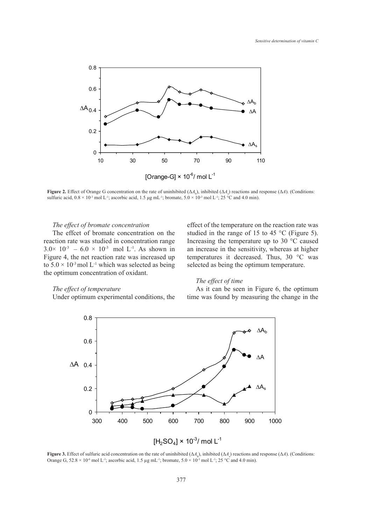

**Figure 2.** Effect of Orange G concentration on the rate of uninhibited  $(\Delta A_{\rm b})$ , inhibited  $(\Delta A_{\rm s})$  reactions and response  $(\Delta A)$ . (Conditions: sulfuric acid,  $0.8 \times 10^{-3}$  mol L<sup>-1</sup>; ascorbic acid, 1.5 µg mL<sup>-1</sup>; bromate,  $5.0 \times 10^{-3}$  mol L<sup>-1</sup>; 25 °C and 4.0 min).

#### *The effect of bromate concentration*

The effcet of bromate concentration on the reaction rate was studied in concentration range  $3.0 \times 10^{-3}$  –  $6.0 \times 10^{-3}$  mol L<sup>-1</sup>. As shown in Figure 4, the net reaction rate was increased up to  $5.0 \times 10^{-3}$  mol L<sup>-1</sup> which was selected as being the optimum concentration of oxidant.

# effect of the temperature on the reaction rate was studied in the range of 15 to 45 °C (Figure 5). Increasing the temperature up to 30 °C caused an increase in the sensitivity, whereas at higher temperatures it decreased. Thus, 30 °C was selected as being the optimum temperature.

#### *The effect of time*

# *The effect of temperature*

Under optimum experimental conditions, the

As it can be seen in Figure 6, the optimum time was found by measuring the change in the



**Figure 3.** Effect of sulfuric acid concentration on the rate of uninhibited  $(\Delta A_{\rm s})$ , inhibited  $(\Delta A_{\rm s})$  reactions and response  $(\Delta A)$ . (Conditions: Orange G,  $52.8 \times 10^{-6}$  mol L<sup>-1</sup>; ascorbic acid, 1.5 µg mL<sup>-1</sup>; bromate,  $5.0 \times 10^{-3}$  mol L<sup>-1</sup>; 25 °C and 4.0 min).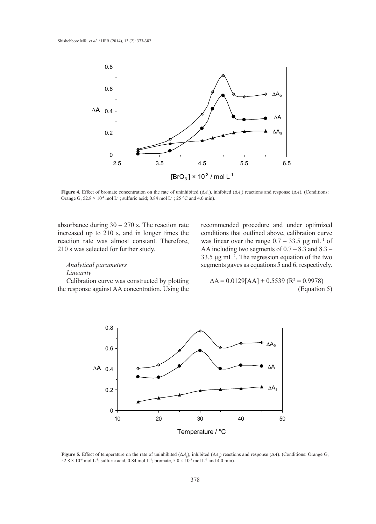

**Figure 4.** Effect of bromate concentration on the rate of uninhibited  $(\Delta A_{\rm b})$ , inhibited  $(\Delta A_{\rm s})$  reactions and response  $(\Delta A)$ . (Conditions: Orange G,  $52.8 \times 10^{-4}$  mol L<sup>-1</sup>; sulfuric acid; 0.84 mol L<sup>-1</sup>; 25 °C and 4.0 min).

absorbance during  $30 - 270$  s. The reaction rate increased up to 210 s, and in longer times the reaction rate was almost constant. Therefore, 210 s was selected for further study.

# *Analytical parameters Linearity*

Calibration curve was constructed by plotting the response against AA concentration. Using the recommended procedure and under optimized conditions that outlined above, calibration curve was linear over the range  $0.7 - 33.5 \mu g \text{ mL}^{-1}$  of AA including two segments of  $0.7 - 8.3$  and  $8.3 -$ 33.5  $\mu$ g mL<sup>-1</sup>. The regression equation of the two segments gaves as equations 5 and 6, respectively.

$$
\Delta A = 0.0129[AA] + 0.5539 (R2 = 0.9978)
$$
  
(Equation 5)



**Figure 5.** Effect of temperature on the rate of uninhibited  $(\Delta A)$ , inhibited  $(\Delta A)$  reactions and response  $(\Delta A)$ . (Conditions: Orange G,  $52.8 \times 10^{-6}$  mol L<sup>-1</sup>; sulfuric acid, 0.84 mol L<sup>-1</sup>; bromate,  $5.0 \times 10^{-3}$  mol L<sup>-1</sup> and 4.0 min).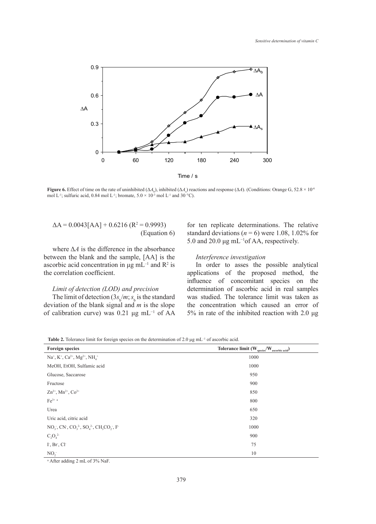

**Figure 6.** Effect of time on the rate of uninhibited (Δ*A*<sub>b</sub>), inhibited (Δ*A*<sub>s</sub>) reactions and response (Δ*A*). (Conditions: Orange G, 52.8 × 10<sup>-6</sup> mol L<sup>-1</sup>; sulfuric acid, 0.84 mol L<sup>-1</sup>; bromate,  $5.0 \times 10^{-3}$  mol L<sup>-1</sup> and  $30^{\circ}$ °C).

$$
\Delta A = 0.0043[AA] + 0.6216 (R^2 = 0.9993)
$$
\n(Equation 6)

where  $\Delta A$  is the difference in the absorbance between the blank and the sample, [AA] is the ascorbic acid concentration in  $\mu$ g mL<sup>-1</sup> and R<sup>2</sup> is the correlation coefficient.

# *Limit of detection (LOD) and precision*

The limit of detection  $(3s_b/m; s_b$  is the standard deviation of the blank signal and *m* is the slope of calibration curve) was 0.21 μg mL−1 of AA

for ten replicate determinations. The relative standard deviations ( $n = 6$ ) were 1.08, 1.02% for 5.0 and 20.0 μg mL−1of AA, respectively.

# *Interference investigation*

In order to asses the possible analytical applications of the proposed method, the influence of concomitant species on the determination of ascorbic acid in real samples was studied. The tolerance limit was taken as the concentration which caused an error of 5% in rate of the inhibited reaction with 2.0 μg

Table 2. Tolerance limit for foreign species on the determination of 2.0 μg mL<sup>-1</sup> of ascorbic acid.

| <b>Foreign species</b>                                                                                                                                   | Tolerance limit (W <sub>species</sub> /W <sub>ascorbic acid</sub> ) |  |  |  |  |
|----------------------------------------------------------------------------------------------------------------------------------------------------------|---------------------------------------------------------------------|--|--|--|--|
| $Na^{+}$ , $K^{+}$ , $Ca^{2+}$ , $Mg^{2+}$ , $NH4+$                                                                                                      | 1000                                                                |  |  |  |  |
| MeOH, EtOH, Sulfamic acid                                                                                                                                | 1000                                                                |  |  |  |  |
| Glucose, Saccarose                                                                                                                                       | 950                                                                 |  |  |  |  |
| Fructose                                                                                                                                                 | 900                                                                 |  |  |  |  |
| $Zn^{2+}$ , Mn <sup>2+</sup> , Co <sup>2+</sup>                                                                                                          | 850                                                                 |  |  |  |  |
| $Fe3+ a$                                                                                                                                                 | 800                                                                 |  |  |  |  |
| Urea                                                                                                                                                     | 650                                                                 |  |  |  |  |
| Uric acid, citric acid                                                                                                                                   | 320                                                                 |  |  |  |  |
| $NO_3^-$ , CN <sup>-</sup> , CO <sub>3</sub> <sup>2</sup> , SO <sub>4</sub> <sup>2</sup> , CH <sub>3</sub> CO <sub>2</sub> <sup>-</sup> , F <sup>-</sup> | 1000                                                                |  |  |  |  |
| $C_2O_4^2$                                                                                                                                               | 900                                                                 |  |  |  |  |
| I, Br, Cl                                                                                                                                                | 75                                                                  |  |  |  |  |
| NO <sub>2</sub>                                                                                                                                          | 10                                                                  |  |  |  |  |

a After adding 2 mL of 3% NaF.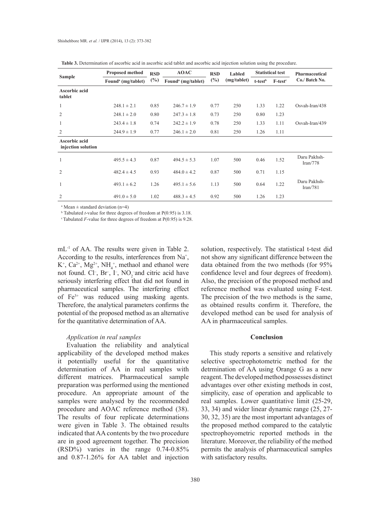| <b>Sample</b>                       | <b>Proposed method</b>         | <b>RSD</b> | <b>AOAC</b>                    | <b>RSD</b><br>Labled |             | <b>Statistical test</b> |           | Pharmaceutical           |
|-------------------------------------|--------------------------------|------------|--------------------------------|----------------------|-------------|-------------------------|-----------|--------------------------|
|                                     | Found <sup>a</sup> (mg/tablet) | $(\%)$     | Found <sup>a</sup> (mg/tablet) | $(\%)$               | (mg/tablet) | t-test <sup>b</sup>     | $F-testc$ | Co./ Batch No.           |
| Ascorbic acid<br>tablet             |                                |            |                                |                      |             |                         |           |                          |
| 1                                   | $248.1 \pm 2.1$                | 0.85       | $246.7 \pm 1.9$                | 0.77                 | 250         | 1.33                    | 1.22      | Osvah-Iran/438           |
| 2                                   | $248.1 \pm 2.0$                | 0.80       | $247.3 \pm 1.8$                | 0.73                 | 250         | 0.80                    | 1.23      |                          |
| 1                                   | $243.4 \pm 1.8$                | 0.74       | $242.2 \pm 1.9$                | 0.78                 | 250         | 1.33                    | 1.11      | Osvah-Iran/439           |
| $\overline{2}$                      | $244.9 \pm 1.9$                | 0.77       | $246.1 \pm 2.0$                | 0.81                 | 250         | 1.26                    | 1.11      |                          |
| Ascorbic acid<br>injection solution |                                |            |                                |                      |             |                         |           |                          |
| $\mathbf{1}$                        | $495.5 \pm 4.3$                | 0.87       | $494.5 \pm 5.3$                | 1.07                 | 500         | 0.46                    | 1.52      | Daru Pakhsh-<br>Iran/778 |
| 2                                   | $482.4 \pm 4.5$                | 0.93       | $484.0 \pm 4.2$                | 0.87                 | 500         | 0.71                    | 1.15      |                          |
| $\mathbf{1}$                        | $493.1 \pm 6.2$                | 1.26       | $495.1 \pm 5.6$                | 1.13                 | 500         | 0.64                    | 1.22      | Daru Pakhsh-<br>Iran/781 |
| 2                                   | $491.0 \pm 5.0$                | 1.02       | $488.3 \pm 4.5$                | 0.92                 | 500         | 1.26                    | 1.23      |                          |

**Table 3.** Determination of ascorbic acid in ascorbic acid tablet and ascorbic acid injection solution using the procedure.

a Mean ± standard deviation (n=4)

b Tabulated *t*-value for three degrees of freedom at P(0.95) is 3.18.

c Tabulated *F*-value for three degrees of freedom at P(0.95) is 9.28.

mL<sup>-1</sup> of AA. The results were given in Table 2. According to the results, interferences from  $Na<sup>+</sup>$ ,  $K^+$ ,  $Ca^{2+}$ ,  $Mg^{2+}$ ,  $NH_4^+$ , methaol and ethanol were not found. Cl<sup>-</sup>, Br<sup>-</sup>, I<sup>-</sup>, NO<sub>2</sub><sup>-</sup>and citric acid have seriously interfering effect that did not found in pharmaceutical samples. The interfering effect of Fe3+ was reduced using masking agents. Therefore, the analytical parameters confirms the potential of the proposed method as an alternative for the quantitative determination of AA.

### *Application in real samples*

Evaluation the reliability and analytical applicability of the developed method makes it potentially useful for the quantitative determination of AA in real samples with different matrices. Pharmaceutical sample preparation was performed using the mentioned procedure. An appropriate amount of the samples were analysed by the recommended procedure and AOAC reference method (38). The results of four replicate determinations were given in Table 3. The obtained results indicated that AA contents by the two procedure are in good agreement together. The precision (RSD%) varies in the range 0.74-0.85% and 0.87-1.26% for AA tablet and injection

solution, respectively. The statistical t-test did not show any significant difference between the data obtained from the two methods (for 95% confidence level and four degrees of freedom). Also, the precision of the proposed method and reference method was evaluated using F-test. The precision of the two methods is the same, as obtained results confirm it. Therefore, the developed method can be used for analysis of AA in pharmaceutical samples.

### **Conclusion**

This study reports a sensitive and relatively selective spectrophotometric method for the detrmination of AA using Orange G as a new reagent. The developed method possesses distinct advantages over other existing methods in cost, simplicity, ease of operation and applicable to real samples. Lower quantitative limit (25-29, 33, 34) and wider linear dynamic range (25, 27- 30, 32, 35) are the most important advantages of the proposed method compared to the catalytic spectrophoyometric reported methods in the literature. Moreover, the reliability of the method permits the analysis of pharmaceutical samples with satisfactory results.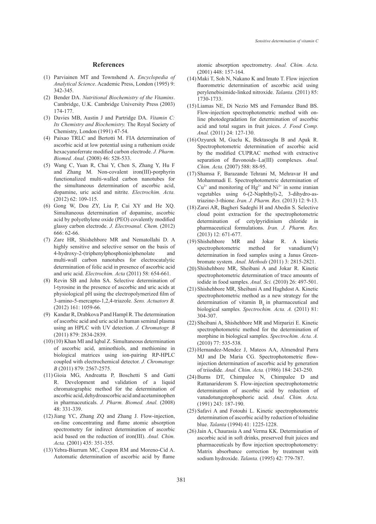#### **References**

- Parviainen MT and Townshend A. *Encyclopedia of*  (1) *Analytical Science*. Academic Press, London (1995) 9: 342-345.
- Bender DA. *Nutritional Biochemistry of the Vitamins*. (2) Cambridge, U.K. Cambridge University Press (2003) 174-177.
- Davies MB, Austin J and Partridge DA. *Vitamin C:*  (3) *Its Chemistry and Biochemistry.* The Royal Society of Chemistry, London (1991) 47-54.
- Paixao TRLC and Bertotti M. FIA determination of (4) ascorbic acid at low potential using a ruthenium oxide hexacyanoferrate modified carbon electrode. *J. Pharm. Biomed. Anal.* (2008) 46: 528-533.
- Wang C, Yuan R, Chai Y, Chen S, Zhang Y, Hu F (5) and Zhang M. Non-covalent iron(III)-porphyrin functionalized multi-walled carbon nanotubes for the simultaneous determination of ascorbic acid, dopamine, uric acid and nitrite. *Electrochim. Acta.* (2012) 62: 109-115.
- Gong W, Dou ZY, Liu P, Cai XY and He XQ. (6) Simultaneous determination of dopamine, ascorbic acid by polyethylene oxide (PEO) covalently modified glassy carbon electrode. *J. Electroanal. Chem.* (2012) 666: 62-66.
- (7) Zare HR, Shishehbore MR and Nematollahi D. A highly sensitive and selective sensor on the basis of 4-hydroxy-2-(triphenylphosphonio)phenolate and multi-wall carbon nanotubes for electrocatalytic determination of folic acid in presence of ascorbic acid and uric acid. *Electrochim. Acta* (2011) 58: 654-661.
- (8) Revin SB and John SA. Selective determination of l-tyrosine in the presence of ascorbic and uric acids at physiological pH using the electropolymerized film of 3-amino-5-mercapto-1,2,4-triazole. *Sens. Actuators B.* (2012) 161: 1059-66.
- (9) Kandar R, Drabkova P and Hampl R. The determination of ascorbic acid and uric acid in human seminal plasma using an HPLC with UV detection. *J. Chromatogr. B* (2011) 879: 2834-2839.
- $(10)(10)$  Khan MI and Iqbal Z. Simultaneous determination of ascorbic acid, aminothiols, and methionine in biological matrices using ion-pairing RP-HPLC coupled with electrochemical detector. *J. Chromatogr. B* (2011) 879: 2567-2575.
- (11) Gioia MG, Andreatta P, Boschetti S and Gatti R. Development and validation of a liquid chromatographic method for the determination of ascorbic acid, dehydroascorbic acid and acetaminophen in pharmaceuticals. *J. Pharm. Biomed. Anal.* (2008) 48: 331-339.
- (12) Jiang YC, Zhang ZQ and Zhang J. Flow-injection, on-line concentrating and flame atomic absorption spectrometry for indirect determination of ascorbic acid based on the reduction of iron(III). *Anal. Chim. Acta.* (2001) 435: 351-355.
- (13) Yebra-Biurrum MC, Cespon RM and Moreno-Cid A. Automatic determination of ascorbic acid by flame

atomic absorption spectrometry. *Anal. Chim. Acta.* (2001) 448: 157-164.

- $(14)$  Maki T, Soh N, Nakano K and Imato T. Flow injection fluorometric determination of ascorbic acid using perylenebisimide-linked nitroxide. *Talanta.* (2011) 85: 1730-1733.
- Liamas NE, Di Nezio MS and Fernandez Band BS. (15) Flow-injection spectrophotometric method with online photodegradation for determination of ascorbic acid and total sugars in fruit juices. *J. Food Comp. Anal.* (2011) 24: 127-130.
- $(16)$  Ozyurek M, Guclu K, Bektasoglu B and Apak R. Spectrophotometric determination of ascorbic acid by the modified CUPRAC method with extractive separation of flavonoids–La(III) complexes. *Anal. Chim. Acta.* (2007) 588: 88-95.
- $(17)$  Shamsa F, Barazande Tehrani M, Mehravar H and Mohammadi E. Spectrophotometric determination of  $Cu^{2+}$  and monitoring of Hg<sup>2+</sup> and Ni<sup>2+</sup> in some iranian vegetables using 6-(2-Naphthyl)-2, 3-dihydro-astriazine-3-thione. *Iran. J. Pharm. Res.* (2013) 12: 9-13.
- (18) Zarei AR, Bagheri Sadeghi H and Abedin S. Selective cloud point extraction for the spectrophotometric determination of cetylpyridinium chloride in pharmaceutical formulations. *Iran. J. Pharm. Res.* (2013) 12: 671-677.
- and Jokar R. A kinetic spectrophotometric method for vanadium(V) determination in food samples using a Janus Greenbromate system. *Anal. Methods* (2011) 3: 2815-2821. (19) Shishehbore MR
- (20) Shishehbore MR, Sheibani A and Jokar R. Kinetic spectrophotometric determination of trace amounts of iodide in food samples. *Anal. Sci.* (2010) 26: 497-501.
- (21) Shishehbore MR, Sheibani A and Haghdost A. Kinetic spectrophotometric method as a new strategy for the determination of vitamin  $B<sub>o</sub>$  in pharmaceutical and biological samples. *Spectrochim. Acta. A.* (2011) 81: 304-307.
- (22) Sheibani A, Shishehbore MR and Mirparizi E. Kinetic spectrophotometric method for the determination of morphine in biological samples. *Spectrochim. Acta. A.* (2010) 77: 535-538.
- (23) Hernandez-Mendez J, Mateos AA, Almendral Parra MJ and De Maria CG. Spectrophotometric flowinjection determination of ascorbic acid by generation of triiodide. *Anal. Chim. Acta.* (1986) 184: 243-250.
- (24) Burns DT, Chimpalee N, Chimpalee D and Rattanariderom S. Flow-injection spectrophotometric determination of ascorbic acid by reduction of vanadotungstophosphoric acid. *Anal. Chim. Acta.* (1991) 243: 187-190.
- (25) Safavi A and Fotouhi L. Kinetic spectrophotometric determination of ascorbic acid by reduction of toluidine blue. *Talanta* (1994) 41: 1225-1228.
- (26) Jain A, Chaurasia A and Verma KK. Determination of ascorbic acid in soft drinks, preserved fruit juices and pharmaceuticals by flow injection spectrophotometry: Matrix absorbance correction by treatment with sodium hydroxide. *Talanta.* (1995) 42: 779-787.